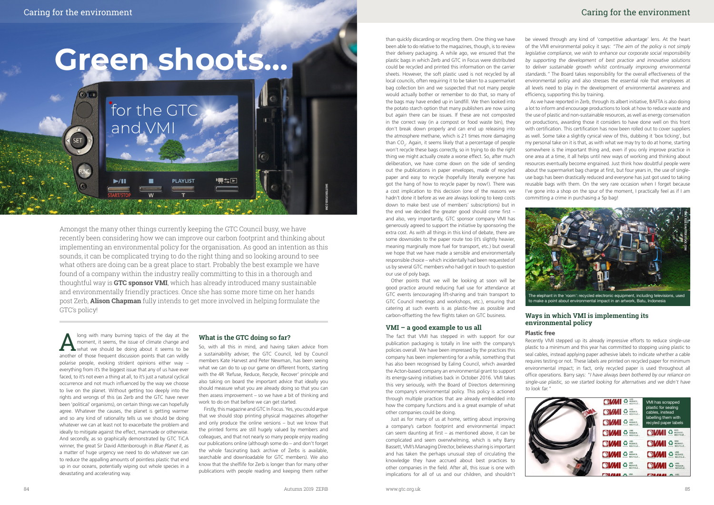$\odot$ 

**SET** 

# Caring for the environment Caring for the environment

Amongst the many other things currently keeping the GTC Council busy, we have recently been considering how we can improve our carbon footprint and thinking about implementing an environmental policy for the organisation. As good an intention as this sounds, it can be complicated trying to do the right thing and so looking around to see what others are doing can be a great place to start. Probably the best example we have found of a company within the industry really committing to this in a thorough and thoughtful way is **GTC sponsor VMI**, which has already introduced many sustainable and environmentally friendly practices. Once she has some more time on her hands post Zerb, **Alison Chapman** fully intends to get more involved in helping formulate the GTC's policy!

**PLAYLIST** 

夏季区

Along with many burning topics of the day at the moment, it seems, the issue of climate change and what we should be doing about it seems to be apachtor of those froquent discussion points that can wildly moment, it seems, the issue of climate change and what we should be doing about it seems to be another of those frequent discussion points that can wildly polarise people, evoking strident opinions either way – everything from it's the biggest issue that any of us have ever faced, to it's not even a thing at all, to it's just a natural cyclical occurrence and not much influenced by the way we choose to live on the planet. Without getting too deeply into the rights and wrongs of this (as Zerb and the GTC have never been 'political' organisms), on certain things we can hopefully agree. Whatever the causes, the planet is getting warmer and so any kind of rationality tells us we should be doing whatever we can at least not to exacerbate the problem and ideally to mitigate against the effect, manmade or otherwise. And secondly, as so graphically demonstrated by GTC TiCA winner, the great Sir David Attenborough in *Blue Planet II*, as a matter of huge urgency we need to do whatever we can to reduce the appalling amounts of pointless plastic that end up in our oceans, potentially wiping out whole species in a devastating and accelerating way.

# **Green shoots...**

for the GTC

and VMI

# **What is the GTC doing so far?**

So, with all this in mind, and having taken advice from a sustainability adviser, the GTC Council, led by Council members Kate Harvest and Peter Newman, has been seeing what we can do to up our game on different fronts, starting with the 4R 'Refuse, Reduce, Recycle, Recover' principle and also taking on board the important advice that ideally you should measure what you are already doing so that you can then assess improvement – so we have a bit of thinking and work to do on that before we can get started.

Firstly, this magazine and GTC In Focus. Yes, you could argue that we should stop printing physical magazines altogether and only produce the online versions – but we know that the printed forms are still hugely valued by members and colleagues, and that not nearly so many people enjoy reading our publications online (although some do – and don't forget the whole fascinating back archive of Zerbs is available, searchable and downloadable for GTC members). We also know that the shelflife for Zerb is longer than for many other publications with people reading and keeping them rather

than quickly discarding or recycling them. One thing we have been able to do relative to the magazines, though, is to review their delivery packaging. A while ago, we ensured that the plastic bags in which Zerb and GTC in Focus were distributed could be recycled and printed this information on the carrier sheets. However, the soft plastic used is not recycled by all local councils, often requiring it to be taken to a supermarket bag collection bin and we suspected that not many people would actually bother or remember to do that, so many of the bags may have ended up in landfill. We then looked into the potato starch option that many publishers are now using but again there can be issues. If these are not composted in the correct way (in a compost or food waste bin), they don't break down properly and can end up releasing into the atmosphere methane, which is 21 times more damaging than  $CO<sub>2</sub>$ . Again, it seems likely that a percentage of people won't recycle these bags correctly, so in trying to do the right thing we might actually create a worse effect. So, after much deliberation, we have come down on the side of sending out the publications in paper envelopes, made of recycled paper and easy to recycle (hopefully literally everyone has got the hang of how to recycle paper by now!). There was a cost implication to this decision (one of the reasons we hadn't done it before as we are always looking to keep costs down to make best use of members' subscriptions) but in the end we decided the greater good should come first – and also, very importantly, GTC sponsor company VMI has generously agreed to support the initiative by sponsoring the extra cost. As with all things in this kind of debate, there are some downsides to the paper route too (it's slightly heavier, meaning marginally more fuel for transport, etc.) but overall we hope that we have made a sensible and environmentally

responsible choice – which incidentally had been requested of

us by several GTC members who had got in touch to question our use of poly bags. Other points that we will be looking at soon will be good practice around reducing fuel use for attendance at GTC events (encouraging lift-sharing and train transport to GTC Council meetings and workshops, etc.), ensuring that catering at such events is as plastic-free as possible and

carbon-offsetting the few flights taken on GTC business.

# **VMI – a good example to us all**

The fact that VMI has stepped in with support for our publication packaging is totally in line with the company's policies overall. We have been impressed by the practices this company has been implementing for a while, something that has also been recognised by Ealing Council, which awarded the Acton-based company an environmental grant to support its energy-saving initiatives back in October 2016. VMI takes this very seriously, with the Board of Directors determining the company's environmental policy. This policy is actioned through multiple practices that are already embedded into how the company functions and is a great example of what other companies could be doing.

Just as for many of us at home, setting about improving a company's carbon footprint and environmental impact can seem daunting at first – as mentioned above, it can be complicated and seem overwhelming, which is why Barry Bassett, VMI's Managing Director, believes sharing is important and has taken the perhaps unusual step of circulating the knowledge they have accrued about best practices to other companies in the field. After all, this issue is one with implications for all of us and our children, and shouldn't

be viewed through any kind of 'competitive advantage' lens. At the heart of the VMI environmental policy it says: "The aim of the policy is not simply legislative compliance, we wish to enhance our corporate social responsibility by supporting the development of best practice and innovative solutions to deliver sustainable growth whilst continually improving environmental standards." The Board takes responsibility for the overall effectiveness of the environmental policy and also stresses the essential role that employees at all levels need to play in the development of environmental awareness and efficiency, supporting this by training.

As we have reported in Zerb, through its albert initiative, BAFTA is also doing a lot to inform and encourage productions to look at how to reduce waste and the use of plastic and non-sustainable resources, as well as energy conservation on productions, awarding those it considers to have done well on this front with certification. This certification has now been rolled out to cover suppliers as well. Some take a slightly cynical view of this, dubbing it 'box ticking', but my personal take on it is that, as with what we may try to do at home, starting somewhere is the important thing and, even if you only improve practice in one area at a time, it all helps until new ways of working and thinking about resources eventually become engrained. Just think how doubtful people were about the supermarket bag charge at first, but four years in, the use of singleuse bags has been drastically reduced and everyone has just got used to taking reusable bags with them. On the very rare occasion when I forget because I've gone into a shop on the spur of the moment, I practically feel as if I am committing a crime in purchasing a 5p bag!

# **Ways in which VMI is implementing its environmental policy**

# **Plastic free**

Recently VMI stepped up its already impressive efforts to reduce single-use plastic to a minimum and this year has committed to stopping using plastic to seal cables, instead applying paper adhesive labels to indicate whether a cable requires testing or not. These labels are printed on recycled paper for minimum environmental impact; in fact, only recycled paper is used throughout all office operations. Barry says: "I have always been bothered by our reliance on single-use plastic, so we started looking for alternatives and we didn't have

to look far."





to make a point about environmental impact in an artwork, Batu, Indonesia

**SHUTTERSTOCK.COM**